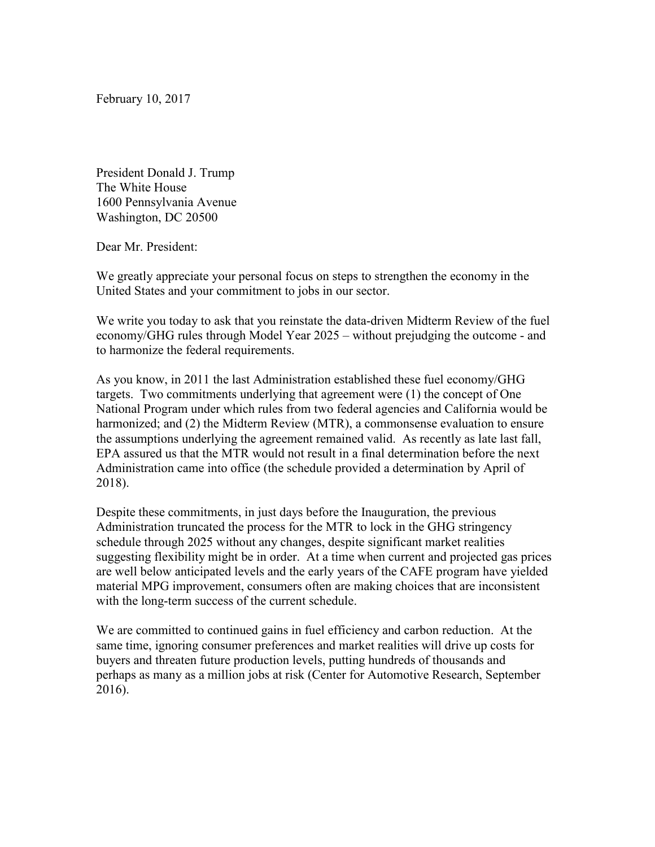February 10, 2017

President Donald J. Trump The White House 1600 Pennsylvania Avenue Washington, DC 20500

Dear Mr. President:

We greatly appreciate your personal focus on steps to strengthen the economy in the United States and your commitment to jobs in our sector.

We write you today to ask that you reinstate the data-driven Midterm Review of the fuel economy/GHG rules through Model Year 2025 – without prejudging the outcome - and to harmonize the federal requirements.

As you know, in 2011 the last Administration established these fuel economy/GHG targets. Two commitments underlying that agreement were (1) the concept of One National Program under which rules from two federal agencies and California would be harmonized; and (2) the Midterm Review (MTR), a commonsense evaluation to ensure the assumptions underlying the agreement remained valid. As recently as late last fall, EPA assured us that the MTR would not result in a final determination before the next Administration came into office (the schedule provided a determination by April of 2018).

Despite these commitments, in just days before the Inauguration, the previous Administration truncated the process for the MTR to lock in the GHG stringency schedule through 2025 without any changes, despite significant market realities suggesting flexibility might be in order. At a time when current and projected gas prices are well below anticipated levels and the early years of the CAFE program have yielded material MPG improvement, consumers often are making choices that are inconsistent with the long-term success of the current schedule.

We are committed to continued gains in fuel efficiency and carbon reduction. At the same time, ignoring consumer preferences and market realities will drive up costs for buyers and threaten future production levels, putting hundreds of thousands and perhaps as many as a million jobs at risk (Center for Automotive Research, September 2016).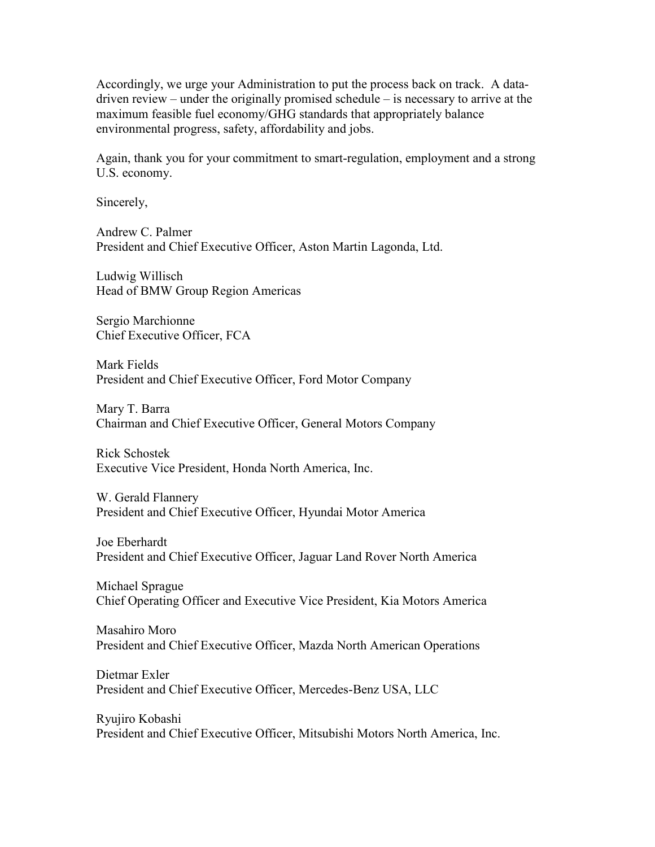Accordingly, we urge your Administration to put the process back on track. A datadriven review – under the originally promised schedule – is necessary to arrive at the maximum feasible fuel economy/GHG standards that appropriately balance environmental progress, safety, affordability and jobs.

Again, thank you for your commitment to smart-regulation, employment and a strong U.S. economy.

Sincerely,

Andrew C. Palmer President and Chief Executive Officer, Aston Martin Lagonda, Ltd.

Ludwig Willisch Head of BMW Group Region Americas

Sergio Marchionne Chief Executive Officer, FCA

Mark Fields President and Chief Executive Officer, Ford Motor Company

Mary T. Barra Chairman and Chief Executive Officer, General Motors Company

Rick Schostek Executive Vice President, Honda North America, Inc.

W. Gerald Flannery President and Chief Executive Officer, Hyundai Motor America

Joe Eberhardt President and Chief Executive Officer, Jaguar Land Rover North America

Michael Sprague Chief Operating Officer and Executive Vice President, Kia Motors America

Masahiro Moro President and Chief Executive Officer, Mazda North American Operations

Dietmar Exler President and Chief Executive Officer, Mercedes-Benz USA, LLC

Ryujiro Kobashi President and Chief Executive Officer, Mitsubishi Motors North America, Inc.